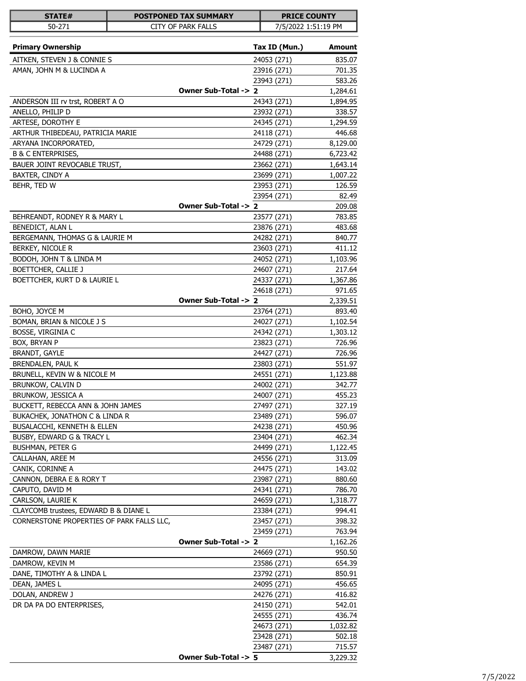| STATE#                                                        | <b>POSTPONED TAX SUMMARY</b> |                            | <b>PRICE COUNTY</b> |
|---------------------------------------------------------------|------------------------------|----------------------------|---------------------|
| 50-271                                                        | CITY OF PARK FALLS           |                            | 7/5/2022 1:51:19 PM |
|                                                               |                              |                            |                     |
| <b>Primary Ownership</b>                                      |                              | Tax ID (Mun.)              | <b>Amount</b>       |
| AITKEN, STEVEN J & CONNIE S                                   |                              | 24053 (271)                | 835.07              |
| AMAN, JOHN M & LUCINDA A                                      |                              | 23916 (271)                | 701.35              |
|                                                               |                              | 23943 (271)                | 583.26              |
|                                                               | Owner Sub-Total -> 2         |                            | 1,284.61            |
| ANDERSON III rv trst, ROBERT A O                              |                              | 24343 (271)                | 1,894.95            |
| ANELLO, PHILIP D                                              |                              | 23932 (271)                | 338.57              |
| ARTESE, DOROTHY E                                             |                              | 24345 (271)                | 1,294.59            |
| ARTHUR THIBEDEAU, PATRICIA MARIE                              |                              | 24118 (271)                | 446.68              |
| ARYANA INCORPORATED,                                          |                              | 24729 (271)                | 8,129.00            |
| <b>B &amp; C ENTERPRISES,</b><br>BAUER JOINT REVOCABLE TRUST, |                              | 24488 (271)                | 6,723.42            |
| BAXTER, CINDY A                                               |                              | 23662 (271)                | 1,643.14            |
| BEHR, TED W                                                   |                              | 23699 (271)<br>23953 (271) | 1,007.22<br>126.59  |
|                                                               |                              | 23954 (271)                | 82.49               |
|                                                               | Owner Sub-Total -> 2         |                            | 209.08              |
| BEHREANDT, RODNEY R & MARY L                                  |                              | 23577 (271)                | 783.85              |
| BENEDICT, ALAN L                                              |                              | 23876 (271)                | 483.68              |
| BERGEMANN, THOMAS G & LAURIE M                                |                              | 24282 (271)                | 840.77              |
| BERKEY, NICOLE R                                              |                              | 23603 (271)                | 411.12              |
| BODOH, JOHN T & LINDA M                                       |                              | 24052 (271)                | 1,103.96            |
| BOETTCHER, CALLIE J                                           |                              | 24607 (271)                | 217.64              |
| BOETTCHER, KURT D & LAURIE L                                  |                              | 24337 (271)                | 1,367.86            |
|                                                               |                              | 24618 (271)                | 971.65              |
|                                                               | Owner Sub-Total -> 2         |                            | 2,339.51            |
| BOHO, JOYCE M                                                 |                              | 23764 (271)                | 893.40              |
| BOMAN, BRIAN & NICOLE J S                                     |                              | 24027 (271)                | 1,102.54            |
| BOSSE, VIRGINIA C                                             |                              | 24342 (271)                | 1,303.12            |
| BOX, BRYAN P                                                  |                              | 23823 (271)                | 726.96              |
| <b>BRANDT, GAYLE</b>                                          |                              | 24427 (271)                | 726.96              |
| BRENDALEN, PAUL K                                             |                              | 23803 (271)                | 551.97              |
| BRUNELL, KEVIN W & NICOLE M                                   |                              | 24551 (271)                | 1,123.88            |
| BRUNKOW, CALVIN D                                             |                              | 24002 (271)                | 342.77              |
| BRUNKOW, JESSICA A                                            |                              | 24007 (271)                | 455.23              |
| BUCKETT, REBECCA ANN & JOHN JAMES                             |                              | 27497 (271)                | 327.19              |
| BUKACHEK, JONATHON C & LINDA R                                |                              | 23489 (271)                | 596.07              |
| <b>BUSALACCHI, KENNETH &amp; ELLEN</b>                        |                              | 24238 (271)                | 450.96              |
| BUSBY, EDWARD G & TRACY L                                     |                              | 23404 (271)                | 462.34              |
| BUSHMAN, PETER G                                              |                              | 24499 (271)                | 1,122.45            |
| CALLAHAN, AREE M                                              |                              | 24556 (271)                | 313.09              |
| CANIK, CORINNE A                                              |                              | 24475 (271)                | 143.02              |
| CANNON, DEBRA E & RORY T                                      |                              | 23987 (271)                | 880.60              |
| CAPUTO, DAVID M                                               |                              | 24341 (271)                | 786.70              |
| CARLSON, LAURIE K                                             |                              | 24659 (271)                | 1,318.77            |
| CLAYCOMB trustees, EDWARD B & DIANE L                         |                              | 23384 (271)                | 994.41              |
| CORNERSTONE PROPERTIES OF PARK FALLS LLC,                     |                              | 23457 (271)                | 398.32              |
|                                                               |                              | 23459 (271)                | 763.94              |
|                                                               | Owner Sub-Total -> 2         |                            | 1,162.26            |
| DAMROW, DAWN MARIE                                            |                              | 24669 (271)                | 950.50              |
| DAMROW, KEVIN M                                               |                              | 23586 (271)                | 654.39              |
| DANE, TIMOTHY A & LINDA L                                     |                              | 23792 (271)                | 850.91              |
| DEAN, JAMES L                                                 |                              | 24095 (271)                | 456.65              |
| DOLAN, ANDREW J                                               |                              | 24276 (271)                | 416.82              |
| DR DA PA DO ENTERPRISES,                                      |                              | 24150 (271)<br>24555 (271) | 542.01<br>436.74    |
|                                                               |                              | 24673 (271)                | 1,032.82            |
|                                                               |                              | 23428 (271)                | 502.18              |
|                                                               |                              | 23487 (271)                | 715.57              |
|                                                               | Owner Sub-Total -> 5         |                            | 3,229.32            |
|                                                               |                              |                            |                     |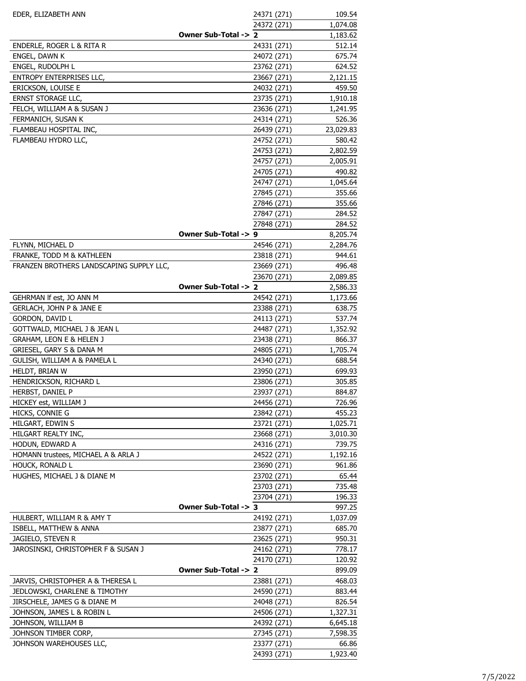| EDER, ELIZABETH ANN                      | 24371 (271)          | 109.54    |
|------------------------------------------|----------------------|-----------|
|                                          | 24372 (271)          | 1,074.08  |
|                                          | Owner Sub-Total -> 2 | 1,183.62  |
| ENDERLE, ROGER L & RITA R                | 24331 (271)          | 512.14    |
| ENGEL, DAWN K                            | 24072 (271)          | 675.74    |
| ENGEL, RUDOLPH L                         | 23762 (271)          | 624.52    |
| ENTROPY ENTERPRISES LLC,                 | 23667 (271)          | 2,121.15  |
| ERICKSON, LOUISE E                       | 24032 (271)          | 459.50    |
| ERNST STORAGE LLC,                       | 23735 (271)          | 1,910.18  |
| FELCH, WILLIAM A & SUSAN J               | 23636 (271)          | 1,241.95  |
| FERMANICH, SUSAN K                       | 24314 (271)          | 526.36    |
| FLAMBEAU HOSPITAL INC,                   | 26439 (271)          | 23,029.83 |
| FLAMBEAU HYDRO LLC,                      | 24752 (271)          | 580.42    |
|                                          | 24753 (271)          | 2,802.59  |
|                                          | 24757 (271)          | 2,005.91  |
|                                          | 24705 (271)          | 490.82    |
|                                          | 24747 (271)          | 1,045.64  |
|                                          | 27845 (271)          | 355.66    |
|                                          | 27846 (271)          | 355.66    |
|                                          | 27847 (271)          | 284.52    |
|                                          | 27848 (271)          | 284.52    |
|                                          | Owner Sub-Total -> 9 | 8,205.74  |
| FLYNN, MICHAEL D                         | 24546 (271)          | 2,284.76  |
| FRANKE, TODD M & KATHLEEN                | 23818 (271)          | 944.61    |
| FRANZEN BROTHERS LANDSCAPING SUPPLY LLC, | 23669 (271)          | 496.48    |
|                                          | 23670 (271)          | 2,089.85  |
|                                          | Owner Sub-Total -> 2 | 2,586.33  |
| GEHRMAN If est, JO ANN M                 | 24542 (271)          | 1,173.66  |
| GERLACH, JOHN P & JANE E                 | 23388 (271)          | 638.75    |
| GORDON, DAVID L                          | 24113 (271)          | 537.74    |
| GOTTWALD, MICHAEL J & JEAN L             | 24487 (271)          | 1,352.92  |
| <b>GRAHAM, LEON E &amp; HELEN J</b>      | 23438 (271)          | 866.37    |
| GRIESEL, GARY S & DANA M                 | 24805 (271)          | 1,705.74  |
| GULISH, WILLIAM A & PAMELA L             | 24340 (271)          | 688.54    |
| HELDT, BRIAN W                           | 23950 (271)          | 699.93    |
| HENDRICKSON, RICHARD L                   | 23806 (271)          | 305.85    |
| HERBST, DANIEL P                         | 23937 (271)          | 884.87    |
| HICKEY est, WILLIAM J                    | 24456 (271)          | 726.96    |
| HICKS, CONNIE G                          | 23842 (271)          | 455.23    |
| HILGART, EDWIN S                         | 23721 (271)          | 1,025.71  |
| HILGART REALTY INC,                      | 23668 (271)          | 3,010.30  |
| HODUN, EDWARD A                          | 24316 (271)          | 739.75    |
| HOMANN trustees, MICHAEL A & ARLA J      | 24522 (271)          | 1,192.16  |
| HOUCK, RONALD L                          | 23690 (271)          | 961.86    |
| HUGHES, MICHAEL J & DIANE M              | 23702 (271)          | 65.44     |
|                                          | 23703 (271)          | 735.48    |
|                                          | 23704 (271)          | 196.33    |
|                                          | Owner Sub-Total -> 3 | 997.25    |
| HULBERT, WILLIAM R & AMY T               | 24192 (271)          | 1,037.09  |
| ISBELL, MATTHEW & ANNA                   | 23877 (271)          | 685.70    |
| JAGIELO, STEVEN R                        | 23625 (271)          | 950.31    |
| JAROSINSKI, CHRISTOPHER F & SUSAN J      | 24162 (271)          | 778.17    |
|                                          | 24170 (271)          | 120.92    |
|                                          | Owner Sub-Total -> 2 | 899.09    |
| JARVIS, CHRISTOPHER A & THERESA L        | 23881 (271)          | 468.03    |
| JEDLOWSKI, CHARLENE & TIMOTHY            | 24590 (271)          | 883.44    |
| JIRSCHELE, JAMES G & DIANE M             | 24048 (271)          | 826.54    |
| JOHNSON, JAMES L & ROBIN L               | 24506 (271)          | 1,327.31  |
| JOHNSON, WILLIAM B                       | 24392 (271)          | 6,645.18  |
| JOHNSON TIMBER CORP,                     | 27345 (271)          | 7,598.35  |
| JOHNSON WAREHOUSES LLC,                  | 23377 (271)          | 66.86     |
|                                          | 24393 (271)          | 1,923.40  |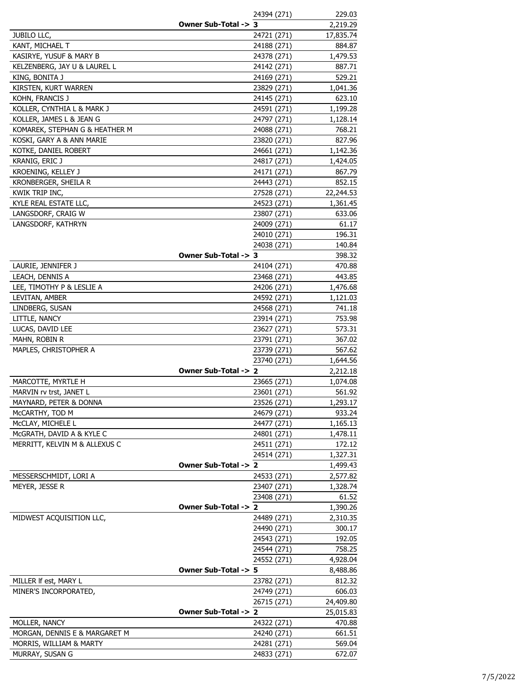| Owner Sub-Total -> 3<br><b>JUBILO LLC,</b><br>24721 (271)<br>KANT, MICHAEL T<br>24188 (271)<br>KASIRYE, YUSUF & MARY B<br>24378 (271)<br>1,479.53<br>KELZENBERG, JAY U & LAUREL L<br>24142 (271)<br>887.71<br>529.21<br>KING, BONITA J<br>24169 (271)<br>KIRSTEN, KURT WARREN<br>23829 (271)<br>KOHN, FRANCIS J<br>24145 (271)<br>1,199.28<br>KOLLER, CYNTHIA L & MARK J<br>24591 (271)<br>KOLLER, JAMES L & JEAN G<br>24797 (271)<br>KOMAREK, STEPHAN G & HEATHER M<br>24088 (271)<br>768.21<br>KOSKI, GARY A & ANN MARIE<br>23820 (271)<br>KOTKE, DANIEL ROBERT<br>24661 (271)<br>KRANIG, ERIC J<br>24817 (271)<br>KROENING, KELLEY J<br>24171 (271)<br>KRONBERGER, SHEILA R<br>24443 (271)<br>KWIK TRIP INC,<br>27528 (271)<br>22,244.53<br>KYLE REAL ESTATE LLC,<br>24523 (271)<br>LANGSDORF, CRAIG W<br>23807 (271)<br>633.06<br>LANGSDORF, KATHRYN<br>24009 (271)<br>24010 (271)<br>196.31<br>24038 (271)<br>140.84<br>Owner Sub-Total -> 3<br>398.32<br>LAURIE, JENNIFER J<br>24104 (271)<br>470.88<br>23468 (271)<br>443.85<br>LEACH, DENNIS A<br>LEE, TIMOTHY P & LESLIE A<br>24206 (271)<br>1,476.68<br>LEVITAN, AMBER<br>24592 (271)<br>1,121.03<br>24568 (271)<br>LINDBERG, SUSAN<br>741.18<br>753.98<br>LITTLE, NANCY<br>23914 (271)<br>23627 (271)<br>573.31<br>LUCAS, DAVID LEE<br>23791 (271)<br>MAHN, ROBIN R<br>367.02<br>MAPLES, CHRISTOPHER A<br>23739 (271)<br>567.62<br>23740 (271)<br>1,644.56<br>Owner Sub-Total -> 2<br>2,212.18<br>MARCOTTE, MYRTLE H<br>23665 (271)<br>1,074.08<br>561.92<br>23601 (271)<br>MARVIN rv trst, JANET L<br>23526 (271)<br>1,293.17<br>MAYNARD, PETER & DONNA<br>McCARTHY, TOD M<br>24679 (271)<br>933.24<br>1,165.13<br>MCCLAY, MICHELE L<br>24477 (271)<br>McGRATH, DAVID A & KYLE C<br>24801 (271)<br>1,478.11<br>MERRITT, KELVIN M & ALLEXUS C<br>172.12<br>24511 (271)<br>24514 (271)<br>1,327.31<br>Owner Sub-Total -> 2<br>1,499.43<br>MESSERSCHMIDT, LORI A<br>24533 (271)<br>2,577.82<br>MEYER, JESSE R<br>23407 (271)<br>1,328.74<br>23408 (271)<br>61.52<br>Owner Sub-Total -> 2<br>1,390.26<br>MIDWEST ACQUISITION LLC,<br>24489 (271)<br>2,310.35<br>24490 (271)<br>300.17<br>24543 (271)<br>192.05<br>24544 (271)<br>758.25<br>24552 (271)<br>4,928.04<br>Owner Sub-Total -> 5<br>8,488.86<br>23782 (271)<br>MILLER If est, MARY L<br>812.32<br>MINER'S INCORPORATED,<br>24749 (271)<br>606.03<br>26715 (271)<br>24,409.80<br>Owner Sub-Total -> 2<br>25,015.83<br>MOLLER, NANCY<br>24322 (271)<br>470.88<br>MORGAN, DENNIS E & MARGARET M<br>24240 (271)<br>661.51<br>24281 (271)<br>MORRIS, WILLIAM & MARTY<br>MURRAY, SUSAN G<br>24833 (271)<br>672.07 | 24394 (271) | 229.03    |
|-------------------------------------------------------------------------------------------------------------------------------------------------------------------------------------------------------------------------------------------------------------------------------------------------------------------------------------------------------------------------------------------------------------------------------------------------------------------------------------------------------------------------------------------------------------------------------------------------------------------------------------------------------------------------------------------------------------------------------------------------------------------------------------------------------------------------------------------------------------------------------------------------------------------------------------------------------------------------------------------------------------------------------------------------------------------------------------------------------------------------------------------------------------------------------------------------------------------------------------------------------------------------------------------------------------------------------------------------------------------------------------------------------------------------------------------------------------------------------------------------------------------------------------------------------------------------------------------------------------------------------------------------------------------------------------------------------------------------------------------------------------------------------------------------------------------------------------------------------------------------------------------------------------------------------------------------------------------------------------------------------------------------------------------------------------------------------------------------------------------------------------------------------------------------------------------------------------------------------------------------------------------------------------------------------------------------------------------------------------------------------------------------------------------------------------------------------------------------------------------------------------------------------------------------------------------------------------------------------------------------------|-------------|-----------|
|                                                                                                                                                                                                                                                                                                                                                                                                                                                                                                                                                                                                                                                                                                                                                                                                                                                                                                                                                                                                                                                                                                                                                                                                                                                                                                                                                                                                                                                                                                                                                                                                                                                                                                                                                                                                                                                                                                                                                                                                                                                                                                                                                                                                                                                                                                                                                                                                                                                                                                                                                                                                                               |             | 2,219.29  |
|                                                                                                                                                                                                                                                                                                                                                                                                                                                                                                                                                                                                                                                                                                                                                                                                                                                                                                                                                                                                                                                                                                                                                                                                                                                                                                                                                                                                                                                                                                                                                                                                                                                                                                                                                                                                                                                                                                                                                                                                                                                                                                                                                                                                                                                                                                                                                                                                                                                                                                                                                                                                                               |             | 17,835.74 |
|                                                                                                                                                                                                                                                                                                                                                                                                                                                                                                                                                                                                                                                                                                                                                                                                                                                                                                                                                                                                                                                                                                                                                                                                                                                                                                                                                                                                                                                                                                                                                                                                                                                                                                                                                                                                                                                                                                                                                                                                                                                                                                                                                                                                                                                                                                                                                                                                                                                                                                                                                                                                                               |             | 884.87    |
|                                                                                                                                                                                                                                                                                                                                                                                                                                                                                                                                                                                                                                                                                                                                                                                                                                                                                                                                                                                                                                                                                                                                                                                                                                                                                                                                                                                                                                                                                                                                                                                                                                                                                                                                                                                                                                                                                                                                                                                                                                                                                                                                                                                                                                                                                                                                                                                                                                                                                                                                                                                                                               |             |           |
|                                                                                                                                                                                                                                                                                                                                                                                                                                                                                                                                                                                                                                                                                                                                                                                                                                                                                                                                                                                                                                                                                                                                                                                                                                                                                                                                                                                                                                                                                                                                                                                                                                                                                                                                                                                                                                                                                                                                                                                                                                                                                                                                                                                                                                                                                                                                                                                                                                                                                                                                                                                                                               |             |           |
|                                                                                                                                                                                                                                                                                                                                                                                                                                                                                                                                                                                                                                                                                                                                                                                                                                                                                                                                                                                                                                                                                                                                                                                                                                                                                                                                                                                                                                                                                                                                                                                                                                                                                                                                                                                                                                                                                                                                                                                                                                                                                                                                                                                                                                                                                                                                                                                                                                                                                                                                                                                                                               |             |           |
|                                                                                                                                                                                                                                                                                                                                                                                                                                                                                                                                                                                                                                                                                                                                                                                                                                                                                                                                                                                                                                                                                                                                                                                                                                                                                                                                                                                                                                                                                                                                                                                                                                                                                                                                                                                                                                                                                                                                                                                                                                                                                                                                                                                                                                                                                                                                                                                                                                                                                                                                                                                                                               |             | 1,041.36  |
|                                                                                                                                                                                                                                                                                                                                                                                                                                                                                                                                                                                                                                                                                                                                                                                                                                                                                                                                                                                                                                                                                                                                                                                                                                                                                                                                                                                                                                                                                                                                                                                                                                                                                                                                                                                                                                                                                                                                                                                                                                                                                                                                                                                                                                                                                                                                                                                                                                                                                                                                                                                                                               |             | 623.10    |
|                                                                                                                                                                                                                                                                                                                                                                                                                                                                                                                                                                                                                                                                                                                                                                                                                                                                                                                                                                                                                                                                                                                                                                                                                                                                                                                                                                                                                                                                                                                                                                                                                                                                                                                                                                                                                                                                                                                                                                                                                                                                                                                                                                                                                                                                                                                                                                                                                                                                                                                                                                                                                               |             |           |
|                                                                                                                                                                                                                                                                                                                                                                                                                                                                                                                                                                                                                                                                                                                                                                                                                                                                                                                                                                                                                                                                                                                                                                                                                                                                                                                                                                                                                                                                                                                                                                                                                                                                                                                                                                                                                                                                                                                                                                                                                                                                                                                                                                                                                                                                                                                                                                                                                                                                                                                                                                                                                               |             | 1,128.14  |
|                                                                                                                                                                                                                                                                                                                                                                                                                                                                                                                                                                                                                                                                                                                                                                                                                                                                                                                                                                                                                                                                                                                                                                                                                                                                                                                                                                                                                                                                                                                                                                                                                                                                                                                                                                                                                                                                                                                                                                                                                                                                                                                                                                                                                                                                                                                                                                                                                                                                                                                                                                                                                               |             |           |
|                                                                                                                                                                                                                                                                                                                                                                                                                                                                                                                                                                                                                                                                                                                                                                                                                                                                                                                                                                                                                                                                                                                                                                                                                                                                                                                                                                                                                                                                                                                                                                                                                                                                                                                                                                                                                                                                                                                                                                                                                                                                                                                                                                                                                                                                                                                                                                                                                                                                                                                                                                                                                               |             | 827.96    |
|                                                                                                                                                                                                                                                                                                                                                                                                                                                                                                                                                                                                                                                                                                                                                                                                                                                                                                                                                                                                                                                                                                                                                                                                                                                                                                                                                                                                                                                                                                                                                                                                                                                                                                                                                                                                                                                                                                                                                                                                                                                                                                                                                                                                                                                                                                                                                                                                                                                                                                                                                                                                                               |             | 1,142.36  |
|                                                                                                                                                                                                                                                                                                                                                                                                                                                                                                                                                                                                                                                                                                                                                                                                                                                                                                                                                                                                                                                                                                                                                                                                                                                                                                                                                                                                                                                                                                                                                                                                                                                                                                                                                                                                                                                                                                                                                                                                                                                                                                                                                                                                                                                                                                                                                                                                                                                                                                                                                                                                                               |             | 1,424.05  |
|                                                                                                                                                                                                                                                                                                                                                                                                                                                                                                                                                                                                                                                                                                                                                                                                                                                                                                                                                                                                                                                                                                                                                                                                                                                                                                                                                                                                                                                                                                                                                                                                                                                                                                                                                                                                                                                                                                                                                                                                                                                                                                                                                                                                                                                                                                                                                                                                                                                                                                                                                                                                                               |             | 867.79    |
|                                                                                                                                                                                                                                                                                                                                                                                                                                                                                                                                                                                                                                                                                                                                                                                                                                                                                                                                                                                                                                                                                                                                                                                                                                                                                                                                                                                                                                                                                                                                                                                                                                                                                                                                                                                                                                                                                                                                                                                                                                                                                                                                                                                                                                                                                                                                                                                                                                                                                                                                                                                                                               |             | 852.15    |
|                                                                                                                                                                                                                                                                                                                                                                                                                                                                                                                                                                                                                                                                                                                                                                                                                                                                                                                                                                                                                                                                                                                                                                                                                                                                                                                                                                                                                                                                                                                                                                                                                                                                                                                                                                                                                                                                                                                                                                                                                                                                                                                                                                                                                                                                                                                                                                                                                                                                                                                                                                                                                               |             |           |
|                                                                                                                                                                                                                                                                                                                                                                                                                                                                                                                                                                                                                                                                                                                                                                                                                                                                                                                                                                                                                                                                                                                                                                                                                                                                                                                                                                                                                                                                                                                                                                                                                                                                                                                                                                                                                                                                                                                                                                                                                                                                                                                                                                                                                                                                                                                                                                                                                                                                                                                                                                                                                               |             | 1,361.45  |
|                                                                                                                                                                                                                                                                                                                                                                                                                                                                                                                                                                                                                                                                                                                                                                                                                                                                                                                                                                                                                                                                                                                                                                                                                                                                                                                                                                                                                                                                                                                                                                                                                                                                                                                                                                                                                                                                                                                                                                                                                                                                                                                                                                                                                                                                                                                                                                                                                                                                                                                                                                                                                               |             |           |
|                                                                                                                                                                                                                                                                                                                                                                                                                                                                                                                                                                                                                                                                                                                                                                                                                                                                                                                                                                                                                                                                                                                                                                                                                                                                                                                                                                                                                                                                                                                                                                                                                                                                                                                                                                                                                                                                                                                                                                                                                                                                                                                                                                                                                                                                                                                                                                                                                                                                                                                                                                                                                               |             | 61.17     |
|                                                                                                                                                                                                                                                                                                                                                                                                                                                                                                                                                                                                                                                                                                                                                                                                                                                                                                                                                                                                                                                                                                                                                                                                                                                                                                                                                                                                                                                                                                                                                                                                                                                                                                                                                                                                                                                                                                                                                                                                                                                                                                                                                                                                                                                                                                                                                                                                                                                                                                                                                                                                                               |             |           |
|                                                                                                                                                                                                                                                                                                                                                                                                                                                                                                                                                                                                                                                                                                                                                                                                                                                                                                                                                                                                                                                                                                                                                                                                                                                                                                                                                                                                                                                                                                                                                                                                                                                                                                                                                                                                                                                                                                                                                                                                                                                                                                                                                                                                                                                                                                                                                                                                                                                                                                                                                                                                                               |             |           |
|                                                                                                                                                                                                                                                                                                                                                                                                                                                                                                                                                                                                                                                                                                                                                                                                                                                                                                                                                                                                                                                                                                                                                                                                                                                                                                                                                                                                                                                                                                                                                                                                                                                                                                                                                                                                                                                                                                                                                                                                                                                                                                                                                                                                                                                                                                                                                                                                                                                                                                                                                                                                                               |             |           |
|                                                                                                                                                                                                                                                                                                                                                                                                                                                                                                                                                                                                                                                                                                                                                                                                                                                                                                                                                                                                                                                                                                                                                                                                                                                                                                                                                                                                                                                                                                                                                                                                                                                                                                                                                                                                                                                                                                                                                                                                                                                                                                                                                                                                                                                                                                                                                                                                                                                                                                                                                                                                                               |             |           |
|                                                                                                                                                                                                                                                                                                                                                                                                                                                                                                                                                                                                                                                                                                                                                                                                                                                                                                                                                                                                                                                                                                                                                                                                                                                                                                                                                                                                                                                                                                                                                                                                                                                                                                                                                                                                                                                                                                                                                                                                                                                                                                                                                                                                                                                                                                                                                                                                                                                                                                                                                                                                                               |             |           |
|                                                                                                                                                                                                                                                                                                                                                                                                                                                                                                                                                                                                                                                                                                                                                                                                                                                                                                                                                                                                                                                                                                                                                                                                                                                                                                                                                                                                                                                                                                                                                                                                                                                                                                                                                                                                                                                                                                                                                                                                                                                                                                                                                                                                                                                                                                                                                                                                                                                                                                                                                                                                                               |             |           |
|                                                                                                                                                                                                                                                                                                                                                                                                                                                                                                                                                                                                                                                                                                                                                                                                                                                                                                                                                                                                                                                                                                                                                                                                                                                                                                                                                                                                                                                                                                                                                                                                                                                                                                                                                                                                                                                                                                                                                                                                                                                                                                                                                                                                                                                                                                                                                                                                                                                                                                                                                                                                                               |             |           |
|                                                                                                                                                                                                                                                                                                                                                                                                                                                                                                                                                                                                                                                                                                                                                                                                                                                                                                                                                                                                                                                                                                                                                                                                                                                                                                                                                                                                                                                                                                                                                                                                                                                                                                                                                                                                                                                                                                                                                                                                                                                                                                                                                                                                                                                                                                                                                                                                                                                                                                                                                                                                                               |             |           |
|                                                                                                                                                                                                                                                                                                                                                                                                                                                                                                                                                                                                                                                                                                                                                                                                                                                                                                                                                                                                                                                                                                                                                                                                                                                                                                                                                                                                                                                                                                                                                                                                                                                                                                                                                                                                                                                                                                                                                                                                                                                                                                                                                                                                                                                                                                                                                                                                                                                                                                                                                                                                                               |             |           |
|                                                                                                                                                                                                                                                                                                                                                                                                                                                                                                                                                                                                                                                                                                                                                                                                                                                                                                                                                                                                                                                                                                                                                                                                                                                                                                                                                                                                                                                                                                                                                                                                                                                                                                                                                                                                                                                                                                                                                                                                                                                                                                                                                                                                                                                                                                                                                                                                                                                                                                                                                                                                                               |             |           |
|                                                                                                                                                                                                                                                                                                                                                                                                                                                                                                                                                                                                                                                                                                                                                                                                                                                                                                                                                                                                                                                                                                                                                                                                                                                                                                                                                                                                                                                                                                                                                                                                                                                                                                                                                                                                                                                                                                                                                                                                                                                                                                                                                                                                                                                                                                                                                                                                                                                                                                                                                                                                                               |             |           |
|                                                                                                                                                                                                                                                                                                                                                                                                                                                                                                                                                                                                                                                                                                                                                                                                                                                                                                                                                                                                                                                                                                                                                                                                                                                                                                                                                                                                                                                                                                                                                                                                                                                                                                                                                                                                                                                                                                                                                                                                                                                                                                                                                                                                                                                                                                                                                                                                                                                                                                                                                                                                                               |             |           |
|                                                                                                                                                                                                                                                                                                                                                                                                                                                                                                                                                                                                                                                                                                                                                                                                                                                                                                                                                                                                                                                                                                                                                                                                                                                                                                                                                                                                                                                                                                                                                                                                                                                                                                                                                                                                                                                                                                                                                                                                                                                                                                                                                                                                                                                                                                                                                                                                                                                                                                                                                                                                                               |             |           |
|                                                                                                                                                                                                                                                                                                                                                                                                                                                                                                                                                                                                                                                                                                                                                                                                                                                                                                                                                                                                                                                                                                                                                                                                                                                                                                                                                                                                                                                                                                                                                                                                                                                                                                                                                                                                                                                                                                                                                                                                                                                                                                                                                                                                                                                                                                                                                                                                                                                                                                                                                                                                                               |             |           |
|                                                                                                                                                                                                                                                                                                                                                                                                                                                                                                                                                                                                                                                                                                                                                                                                                                                                                                                                                                                                                                                                                                                                                                                                                                                                                                                                                                                                                                                                                                                                                                                                                                                                                                                                                                                                                                                                                                                                                                                                                                                                                                                                                                                                                                                                                                                                                                                                                                                                                                                                                                                                                               |             |           |
|                                                                                                                                                                                                                                                                                                                                                                                                                                                                                                                                                                                                                                                                                                                                                                                                                                                                                                                                                                                                                                                                                                                                                                                                                                                                                                                                                                                                                                                                                                                                                                                                                                                                                                                                                                                                                                                                                                                                                                                                                                                                                                                                                                                                                                                                                                                                                                                                                                                                                                                                                                                                                               |             |           |
|                                                                                                                                                                                                                                                                                                                                                                                                                                                                                                                                                                                                                                                                                                                                                                                                                                                                                                                                                                                                                                                                                                                                                                                                                                                                                                                                                                                                                                                                                                                                                                                                                                                                                                                                                                                                                                                                                                                                                                                                                                                                                                                                                                                                                                                                                                                                                                                                                                                                                                                                                                                                                               |             |           |
|                                                                                                                                                                                                                                                                                                                                                                                                                                                                                                                                                                                                                                                                                                                                                                                                                                                                                                                                                                                                                                                                                                                                                                                                                                                                                                                                                                                                                                                                                                                                                                                                                                                                                                                                                                                                                                                                                                                                                                                                                                                                                                                                                                                                                                                                                                                                                                                                                                                                                                                                                                                                                               |             |           |
|                                                                                                                                                                                                                                                                                                                                                                                                                                                                                                                                                                                                                                                                                                                                                                                                                                                                                                                                                                                                                                                                                                                                                                                                                                                                                                                                                                                                                                                                                                                                                                                                                                                                                                                                                                                                                                                                                                                                                                                                                                                                                                                                                                                                                                                                                                                                                                                                                                                                                                                                                                                                                               |             |           |
|                                                                                                                                                                                                                                                                                                                                                                                                                                                                                                                                                                                                                                                                                                                                                                                                                                                                                                                                                                                                                                                                                                                                                                                                                                                                                                                                                                                                                                                                                                                                                                                                                                                                                                                                                                                                                                                                                                                                                                                                                                                                                                                                                                                                                                                                                                                                                                                                                                                                                                                                                                                                                               |             |           |
|                                                                                                                                                                                                                                                                                                                                                                                                                                                                                                                                                                                                                                                                                                                                                                                                                                                                                                                                                                                                                                                                                                                                                                                                                                                                                                                                                                                                                                                                                                                                                                                                                                                                                                                                                                                                                                                                                                                                                                                                                                                                                                                                                                                                                                                                                                                                                                                                                                                                                                                                                                                                                               |             |           |
|                                                                                                                                                                                                                                                                                                                                                                                                                                                                                                                                                                                                                                                                                                                                                                                                                                                                                                                                                                                                                                                                                                                                                                                                                                                                                                                                                                                                                                                                                                                                                                                                                                                                                                                                                                                                                                                                                                                                                                                                                                                                                                                                                                                                                                                                                                                                                                                                                                                                                                                                                                                                                               |             |           |
|                                                                                                                                                                                                                                                                                                                                                                                                                                                                                                                                                                                                                                                                                                                                                                                                                                                                                                                                                                                                                                                                                                                                                                                                                                                                                                                                                                                                                                                                                                                                                                                                                                                                                                                                                                                                                                                                                                                                                                                                                                                                                                                                                                                                                                                                                                                                                                                                                                                                                                                                                                                                                               |             |           |
|                                                                                                                                                                                                                                                                                                                                                                                                                                                                                                                                                                                                                                                                                                                                                                                                                                                                                                                                                                                                                                                                                                                                                                                                                                                                                                                                                                                                                                                                                                                                                                                                                                                                                                                                                                                                                                                                                                                                                                                                                                                                                                                                                                                                                                                                                                                                                                                                                                                                                                                                                                                                                               |             |           |
|                                                                                                                                                                                                                                                                                                                                                                                                                                                                                                                                                                                                                                                                                                                                                                                                                                                                                                                                                                                                                                                                                                                                                                                                                                                                                                                                                                                                                                                                                                                                                                                                                                                                                                                                                                                                                                                                                                                                                                                                                                                                                                                                                                                                                                                                                                                                                                                                                                                                                                                                                                                                                               |             |           |
|                                                                                                                                                                                                                                                                                                                                                                                                                                                                                                                                                                                                                                                                                                                                                                                                                                                                                                                                                                                                                                                                                                                                                                                                                                                                                                                                                                                                                                                                                                                                                                                                                                                                                                                                                                                                                                                                                                                                                                                                                                                                                                                                                                                                                                                                                                                                                                                                                                                                                                                                                                                                                               |             |           |
|                                                                                                                                                                                                                                                                                                                                                                                                                                                                                                                                                                                                                                                                                                                                                                                                                                                                                                                                                                                                                                                                                                                                                                                                                                                                                                                                                                                                                                                                                                                                                                                                                                                                                                                                                                                                                                                                                                                                                                                                                                                                                                                                                                                                                                                                                                                                                                                                                                                                                                                                                                                                                               |             |           |
|                                                                                                                                                                                                                                                                                                                                                                                                                                                                                                                                                                                                                                                                                                                                                                                                                                                                                                                                                                                                                                                                                                                                                                                                                                                                                                                                                                                                                                                                                                                                                                                                                                                                                                                                                                                                                                                                                                                                                                                                                                                                                                                                                                                                                                                                                                                                                                                                                                                                                                                                                                                                                               |             |           |
|                                                                                                                                                                                                                                                                                                                                                                                                                                                                                                                                                                                                                                                                                                                                                                                                                                                                                                                                                                                                                                                                                                                                                                                                                                                                                                                                                                                                                                                                                                                                                                                                                                                                                                                                                                                                                                                                                                                                                                                                                                                                                                                                                                                                                                                                                                                                                                                                                                                                                                                                                                                                                               |             |           |
|                                                                                                                                                                                                                                                                                                                                                                                                                                                                                                                                                                                                                                                                                                                                                                                                                                                                                                                                                                                                                                                                                                                                                                                                                                                                                                                                                                                                                                                                                                                                                                                                                                                                                                                                                                                                                                                                                                                                                                                                                                                                                                                                                                                                                                                                                                                                                                                                                                                                                                                                                                                                                               |             |           |
|                                                                                                                                                                                                                                                                                                                                                                                                                                                                                                                                                                                                                                                                                                                                                                                                                                                                                                                                                                                                                                                                                                                                                                                                                                                                                                                                                                                                                                                                                                                                                                                                                                                                                                                                                                                                                                                                                                                                                                                                                                                                                                                                                                                                                                                                                                                                                                                                                                                                                                                                                                                                                               |             |           |
|                                                                                                                                                                                                                                                                                                                                                                                                                                                                                                                                                                                                                                                                                                                                                                                                                                                                                                                                                                                                                                                                                                                                                                                                                                                                                                                                                                                                                                                                                                                                                                                                                                                                                                                                                                                                                                                                                                                                                                                                                                                                                                                                                                                                                                                                                                                                                                                                                                                                                                                                                                                                                               |             |           |
|                                                                                                                                                                                                                                                                                                                                                                                                                                                                                                                                                                                                                                                                                                                                                                                                                                                                                                                                                                                                                                                                                                                                                                                                                                                                                                                                                                                                                                                                                                                                                                                                                                                                                                                                                                                                                                                                                                                                                                                                                                                                                                                                                                                                                                                                                                                                                                                                                                                                                                                                                                                                                               |             |           |
|                                                                                                                                                                                                                                                                                                                                                                                                                                                                                                                                                                                                                                                                                                                                                                                                                                                                                                                                                                                                                                                                                                                                                                                                                                                                                                                                                                                                                                                                                                                                                                                                                                                                                                                                                                                                                                                                                                                                                                                                                                                                                                                                                                                                                                                                                                                                                                                                                                                                                                                                                                                                                               |             |           |
|                                                                                                                                                                                                                                                                                                                                                                                                                                                                                                                                                                                                                                                                                                                                                                                                                                                                                                                                                                                                                                                                                                                                                                                                                                                                                                                                                                                                                                                                                                                                                                                                                                                                                                                                                                                                                                                                                                                                                                                                                                                                                                                                                                                                                                                                                                                                                                                                                                                                                                                                                                                                                               |             |           |
|                                                                                                                                                                                                                                                                                                                                                                                                                                                                                                                                                                                                                                                                                                                                                                                                                                                                                                                                                                                                                                                                                                                                                                                                                                                                                                                                                                                                                                                                                                                                                                                                                                                                                                                                                                                                                                                                                                                                                                                                                                                                                                                                                                                                                                                                                                                                                                                                                                                                                                                                                                                                                               |             |           |
|                                                                                                                                                                                                                                                                                                                                                                                                                                                                                                                                                                                                                                                                                                                                                                                                                                                                                                                                                                                                                                                                                                                                                                                                                                                                                                                                                                                                                                                                                                                                                                                                                                                                                                                                                                                                                                                                                                                                                                                                                                                                                                                                                                                                                                                                                                                                                                                                                                                                                                                                                                                                                               |             |           |
|                                                                                                                                                                                                                                                                                                                                                                                                                                                                                                                                                                                                                                                                                                                                                                                                                                                                                                                                                                                                                                                                                                                                                                                                                                                                                                                                                                                                                                                                                                                                                                                                                                                                                                                                                                                                                                                                                                                                                                                                                                                                                                                                                                                                                                                                                                                                                                                                                                                                                                                                                                                                                               |             |           |
|                                                                                                                                                                                                                                                                                                                                                                                                                                                                                                                                                                                                                                                                                                                                                                                                                                                                                                                                                                                                                                                                                                                                                                                                                                                                                                                                                                                                                                                                                                                                                                                                                                                                                                                                                                                                                                                                                                                                                                                                                                                                                                                                                                                                                                                                                                                                                                                                                                                                                                                                                                                                                               |             | 569.04    |
|                                                                                                                                                                                                                                                                                                                                                                                                                                                                                                                                                                                                                                                                                                                                                                                                                                                                                                                                                                                                                                                                                                                                                                                                                                                                                                                                                                                                                                                                                                                                                                                                                                                                                                                                                                                                                                                                                                                                                                                                                                                                                                                                                                                                                                                                                                                                                                                                                                                                                                                                                                                                                               |             |           |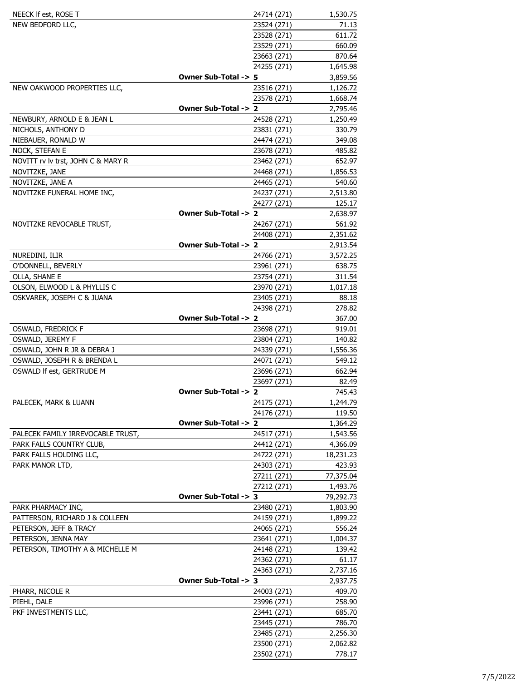| NEECK If est, ROSE T                       |                      | 24714 (271)                | 1,530.75            |
|--------------------------------------------|----------------------|----------------------------|---------------------|
| NEW BEDFORD LLC,                           |                      | 23524 (271)                | 71.13               |
|                                            |                      | 23528 (271)                | 611.72              |
|                                            |                      | 23529 (271)                | 660.09              |
|                                            |                      | 23663 (271)                | 870.64              |
|                                            |                      | 24255 (271)                | 1,645.98            |
|                                            | Owner Sub-Total -> 5 |                            | 3,859.56            |
| NEW OAKWOOD PROPERTIES LLC,                |                      | 23516 (271)                | 1,126.72            |
|                                            |                      | 23578 (271)                | 1,668.74            |
|                                            | Owner Sub-Total -> 2 |                            | 2,795.46            |
| NEWBURY, ARNOLD E & JEAN L                 |                      | 24528 (271)                | 1,250.49            |
| NICHOLS, ANTHONY D                         |                      | 23831 (271)                | 330.79              |
| NIEBAUER, RONALD W                         |                      | 24474 (271)                | 349.08              |
| NOCK, STEFAN E                             |                      | 23678 (271)                | 485.82              |
| NOVITT rv lv trst, JOHN C & MARY R         |                      | 23462 (271)                | 652.97              |
| NOVITZKE, JANE                             |                      | 24468 (271)                | 1,856.53            |
| NOVITZKE, JANE A                           |                      | 24465 (271)                | 540.60              |
| NOVITZKE FUNERAL HOME INC,                 |                      | 24237 (271)                | 2,513.80            |
|                                            |                      | 24277 (271)                | 125.17              |
|                                            | Owner Sub-Total -> 2 |                            | 2,638.97            |
| NOVITZKE REVOCABLE TRUST,                  |                      | 24267 (271)                | 561.92              |
|                                            |                      | 24408 (271)                | 2,351.62            |
|                                            | Owner Sub-Total -> 2 |                            | 2,913.54            |
| NUREDINI, ILIR                             |                      | 24766 (271)                | 3,572.25            |
| O'DONNELL, BEVERLY                         |                      | 23961 (271)                | 638.75              |
| OLLA, SHANE E                              |                      | 23754 (271)                | 311.54              |
| OLSON, ELWOOD L & PHYLLIS C                |                      | 23970 (271)                | 1,017.18            |
| OSKVAREK, JOSEPH C & JUANA                 |                      | 23405 (271)                | 88.18               |
|                                            |                      | 24398 (271)                | 278.82              |
|                                            | Owner Sub-Total -> 2 |                            | 367.00              |
| OSWALD, FREDRICK F                         |                      | 23698 (271)                | 919.01              |
| OSWALD, JEREMY F                           |                      | 23804 (271)                | 140.82              |
| OSWALD, JOHN R JR & DEBRA J                |                      | 24339 (271)                | 1,556.36            |
| OSWALD, JOSEPH R & BRENDA L                |                      | 24071 (271)                | 549.12              |
| OSWALD If est, GERTRUDE M                  |                      | 23696 (271)                | 662.94              |
|                                            |                      | 23697 (271)                | 82.49               |
|                                            | Owner Sub-Total -> 2 |                            | 745.43              |
| PALECEK, MARK & LUANN                      |                      | 24175 (271)                | 1,244.79            |
|                                            | Owner Sub-Total -> 2 | 24176 (271)                | 119.50              |
|                                            |                      |                            | 1,364.29            |
| PALECEK FAMILY IRREVOCABLE TRUST,          |                      | 24517 (271)                | 1,543.56            |
| PARK FALLS COUNTRY CLUB,                   |                      | 24412 (271)                | 4,366.09            |
| PARK FALLS HOLDING LLC,<br>PARK MANOR LTD, |                      | 24722 (271)<br>24303 (271) | 18,231.23<br>423.93 |
|                                            |                      | 27211 (271)                | 77,375.04           |
|                                            |                      | 27212 (271)                | 1,493.76            |
|                                            | Owner Sub-Total -> 3 |                            | 79,292.73           |
| PARK PHARMACY INC,                         |                      | 23480 (271)                | 1,803.90            |
| PATTERSON, RICHARD J & COLLEEN             |                      | 24159 (271)                | 1,899.22            |
| PETERSON, JEFF & TRACY                     |                      | 24065 (271)                | 556.24              |
| PETERSON, JENNA MAY                        |                      | 23641 (271)                | 1,004.37            |
| PETERSON, TIMOTHY A & MICHELLE M           |                      | 24148 (271)                | 139.42              |
|                                            |                      | 24362 (271)                | 61.17               |
|                                            |                      | 24363 (271)                | 2,737.16            |
|                                            | Owner Sub-Total -> 3 |                            | 2,937.75            |
| PHARR, NICOLE R                            |                      | 24003 (271)                | 409.70              |
| PIEHL, DALE                                |                      | 23996 (271)                | 258.90              |
| PKF INVESTMENTS LLC,                       |                      | 23441 (271)                | 685.70              |
|                                            |                      | 23445 (271)                | 786.70              |
|                                            |                      | 23485 (271)                | 2,256.30            |
|                                            |                      | 23500 (271)                | 2,062.82            |
|                                            |                      | 23502 (271)                | 778.17              |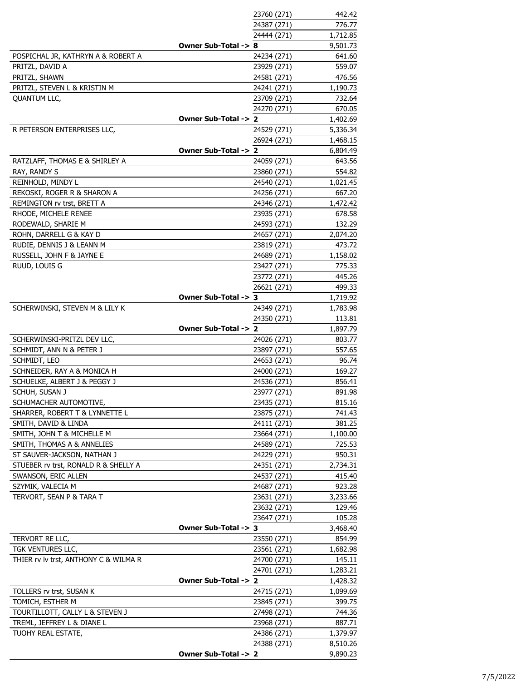|                                       |                      | 23760 (271) | 442.42   |
|---------------------------------------|----------------------|-------------|----------|
|                                       |                      | 24387 (271) | 776.77   |
|                                       |                      | 24444 (271) | 1,712.85 |
|                                       | Owner Sub-Total -> 8 |             | 9,501.73 |
| POSPICHAL JR, KATHRYN A & ROBERT A    |                      | 24234 (271) | 641.60   |
| PRITZL, DAVID A                       |                      | 23929 (271) | 559.07   |
| PRITZL, SHAWN                         |                      | 24581 (271) | 476.56   |
| PRITZL, STEVEN L & KRISTIN M          |                      | 24241 (271) | 1,190.73 |
| <b>QUANTUM LLC,</b>                   |                      | 23709 (271) | 732.64   |
|                                       |                      | 24270 (271) | 670.05   |
|                                       | Owner Sub-Total -> 2 |             | 1,402.69 |
| R PETERSON ENTERPRISES LLC,           |                      | 24529 (271) | 5,336.34 |
|                                       |                      | 26924 (271) | 1,468.15 |
|                                       | Owner Sub-Total -> 2 |             | 6,804.49 |
| RATZLAFF, THOMAS E & SHIRLEY A        |                      | 24059 (271) | 643.56   |
| RAY, RANDY S                          |                      | 23860 (271) | 554.82   |
| REINHOLD, MINDY L                     |                      | 24540 (271) | 1,021.45 |
| REKOSKI, ROGER R & SHARON A           |                      | 24256 (271) | 667.20   |
| REMINGTON rv trst, BRETT A            |                      | 24346 (271) | 1,472.42 |
| RHODE, MICHELE RENEE                  |                      | 23935 (271) | 678.58   |
| RODEWALD, SHARIE M                    |                      | 24593 (271) | 132.29   |
| ROHN, DARRELL G & KAY D               |                      | 24657 (271) | 2,074.20 |
| RUDIE, DENNIS J & LEANN M             |                      | 23819 (271) | 473.72   |
| RUSSELL, JOHN F & JAYNE E             |                      | 24689 (271) | 1,158.02 |
| RUUD, LOUIS G                         |                      | 23427 (271) | 775.33   |
|                                       |                      | 23772 (271) | 445.26   |
|                                       |                      | 26621 (271) | 499.33   |
|                                       | Owner Sub-Total -> 3 |             | 1,719.92 |
| SCHERWINSKI, STEVEN M & LILY K        |                      | 24349 (271) | 1,783.98 |
|                                       |                      | 24350 (271) | 113.81   |
|                                       | Owner Sub-Total -> 2 |             | 1,897.79 |
| SCHERWINSKI-PRITZL DEV LLC,           |                      | 24026 (271) | 803.77   |
| SCHMIDT, ANN N & PETER J              |                      | 23897 (271) | 557.65   |
| SCHMIDT, LEO                          |                      | 24653 (271) | 96.74    |
| SCHNEIDER, RAY A & MONICA H           |                      | 24000 (271) | 169.27   |
| SCHUELKE, ALBERT J & PEGGY J          |                      | 24536 (271) | 856.41   |
| SCHUH, SUSAN J                        |                      | 23977 (271) | 891.98   |
| SCHUMACHER AUTOMOTIVE,                |                      | 23435 (271) | 815.16   |
| SHARRER, ROBERT T & LYNNETTE L        |                      | 23875 (271) | 741.43   |
| SMITH, DAVID & LINDA                  |                      | 24111 (271) | 381.25   |
| SMITH, JOHN T & MICHELLE M            |                      | 23664 (271) | 1,100.00 |
| SMITH, THOMAS A & ANNELIES            |                      | 24589 (271) | 725.53   |
| ST SAUVER-JACKSON, NATHAN J           |                      | 24229 (271) | 950.31   |
| STUEBER rv trst, RONALD R & SHELLY A  |                      | 24351 (271) | 2,734.31 |
| SWANSON, ERIC ALLEN                   |                      | 24537 (271) | 415.40   |
| SZYMIK, VALECIA M                     |                      | 24687 (271) | 923.28   |
| TERVORT, SEAN P & TARA T              |                      | 23631 (271) | 3,233.66 |
|                                       |                      | 23632 (271) | 129.46   |
|                                       |                      | 23647 (271) | 105.28   |
|                                       | Owner Sub-Total -> 3 |             | 3,468.40 |
| TERVORT RE LLC,                       |                      | 23550 (271) | 854.99   |
| TGK VENTURES LLC,                     |                      | 23561 (271) | 1,682.98 |
| THIER rv lv trst, ANTHONY C & WILMA R |                      | 24700 (271) | 145.11   |
|                                       |                      | 24701 (271) | 1,283.21 |
|                                       | Owner Sub-Total -> 2 |             | 1,428.32 |
| TOLLERS rv trst, SUSAN K              |                      | 24715 (271) | 1,099.69 |
| TOMICH, ESTHER M                      |                      | 23845 (271) | 399.75   |
| TOURTILLOTT, CALLY L & STEVEN J       |                      | 27498 (271) | 744.36   |
| TREML, JEFFREY L & DIANE L            |                      | 23968 (271) | 887.71   |
| TUOHY REAL ESTATE,                    |                      | 24386 (271) | 1,379.97 |
|                                       |                      | 24388 (271) | 8,510.26 |
|                                       | Owner Sub-Total -> 2 |             | 9,890.23 |